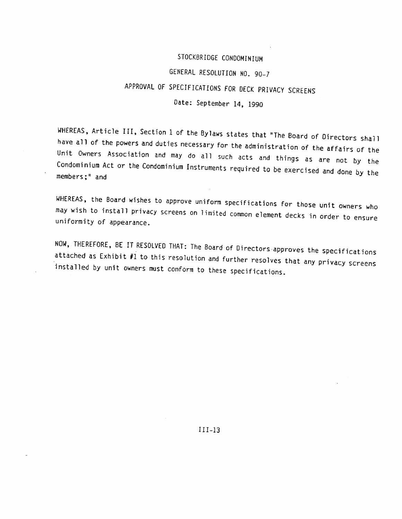#### STOCKBRIDGE CONDOMINIUM

# GENERAL RESOLUTION NO. 90—1 STOCKBRIDGECONDOMINIUMGENERALRESOLUTIONNO.90—1

### APPROVAL OF SPECIFICATIONS FOR DECK PRIVACY SCREENS APPROVALOFSPECIFICATIONSFORDECKPRIVACYSCREENS

#### Date: September 14, 1990

WHEREAS, Article III, Section 1 of the Bylaws states that "The Board of Directors shall<br>have all of the powers and duties necessary for the administration of the affairs of the Unit have all of the powers and duties necessary for the administration of the affairs of the<br>Unit Owners Association and may do all such acts and things as are not by the members;" and Condominium Act or the Condominium Instruments required to be exercised and done by the *Date: September 14, 1990*<br>
WHEREAS, Article III, Section 1 of the Bylaws states that "The Board of Directors shall<br>
Nave all of the powers and duties necessary for the administration of the affairs of the<br>
Unit Dowers Ass

may WHEREAS, the Board wishes to approve uniform specifications for those unit owners who<br>may wish to install privacy screens on limited common element decks in order to ensure<br>uniformity of appearance.

NOW, THEREFORE, BE IT RESOLVED THAT: The Board of Directors approves the specifications attached as Exhibit #1 to this resolution and further resolves that any privacy screens installed by unit owners must conform to these